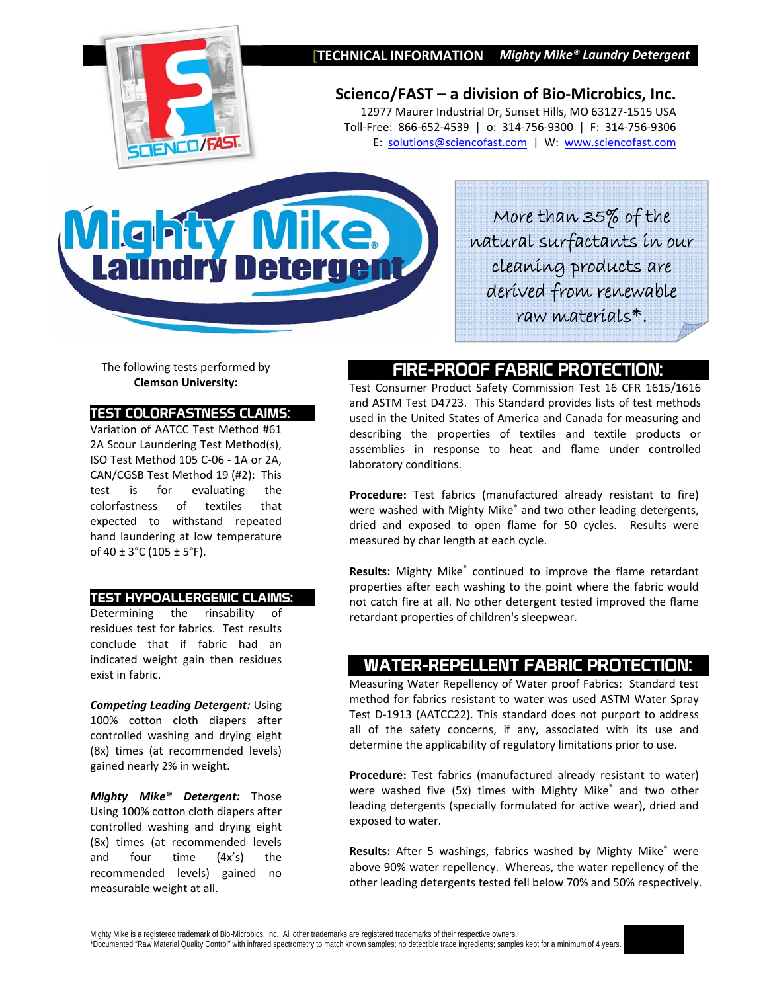



**Scienco/FAST – a division of Bio‐Microbics, Inc.** 12977 Maurer Industrial Dr, Sunset Hills, MO 63127‐1515 USA Toll‐Free: 866‐652‐4539 | o: 314‐756‐9300 | F: 314‐756‐9306 E: solutions@sciencofast.com | W: www.sciencofast.com

# G rv Det

More than 35% of the natural surfactants in our cleaning products are derived from renewable raw materials\*.

The following tests performed by **Clemson University:**

#### TEST COLORFASTNESS CLAIMS:

Variation of AATCC Test Method #61 2A Scour Laundering Test Method(s), ISO Test Method 105 C‐06 ‐ 1A or 2A, CAN/CGSB Test Method 19 (#2): This test is for evaluating the colorfastness of textiles that expected to withstand repeated hand laundering at low temperature of  $40 \pm 3^{\circ}$ C (105  $\pm$  5°F).

#### TEST HYPOALLERGENIC CLAIMS:

Determining the rinsability of residues test for fabrics. Test results conclude that if fabric had an indicated weight gain then residues exist in fabric.

*Competing Leading Detergent:* Using 100% cotton cloth diapers after controlled washing and drying eight (8x) times (at recommended levels) gained nearly 2% in weight.

*Mighty Mike® Detergent:* Those Using 100% cotton cloth diapers after controlled washing and drying eight (8x) times (at recommended levels and four time (4x's) the recommended levels) gained no measurable weight at all.

## FIRE-PROOF FABRIC PROTECTION:

Test Consumer Product Safety Commission Test 16 CFR 1615/1616 and ASTM Test D4723. This Standard provides lists of test methods used in the United States of America and Canada for measuring and describing the properties of textiles and textile products or assemblies in response to heat and flame under controlled laboratory conditions.

**Procedure:** Test fabrics (manufactured already resistant to fire) were washed with Mighty Mike® and two other leading detergents, dried and exposed to open flame for 50 cycles. Results were measured by char length at each cycle.

**Results:** Mighty Mike® continued to improve the flame retardant properties after each washing to the point where the fabric would not catch fire at all. No other detergent tested improved the flame retardant properties of children's sleepwear.

### WATER-REPELLENT FABRIC PROTECTION:

Measuring Water Repellency of Water proof Fabrics: Standard test method for fabrics resistant to water was used ASTM Water Spray Test D‐1913 (AATCC22). This standard does not purport to address all of the safety concerns, if any, associated with its use and determine the applicability of regulatory limitations prior to use.

**Procedure:** Test fabrics (manufactured already resistant to water) were washed five (5x) times with Mighty Mike<sup>®</sup> and two other leading detergents (specially formulated for active wear), dried and exposed to water.

Results: After 5 washings, fabrics washed by Mighty Mike<sup>®</sup> were above 90% water repellency. Whereas, the water repellency of the other leading detergents tested fell below 70% and 50% respectively.

Mighty Mike is a registered trademark of Bio-Microbics, Inc. All other trademarks are registered trademarks of their respective owners.

\*Documented "Raw Material Quality Control" with infrared spectrometry to match known samples; no detectible trace ingredients; samples kept for a minimum of 4 years.